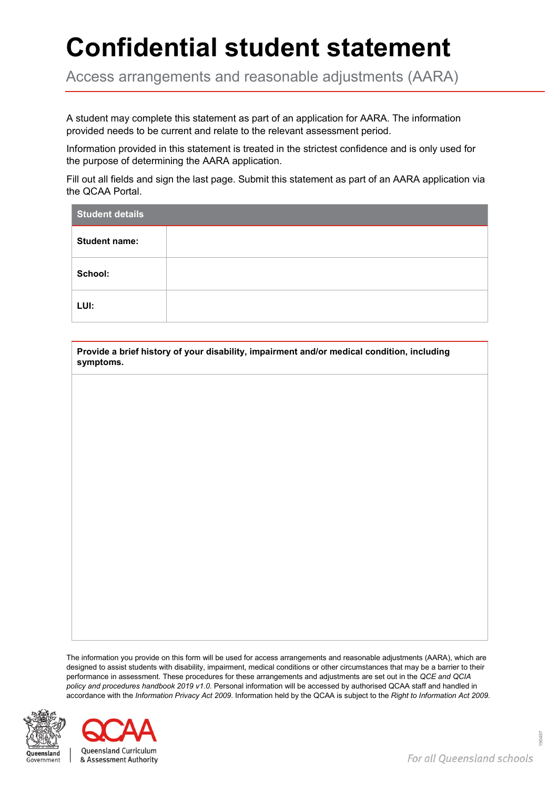## **Confidential student statement**

Access arrangements and reasonable adjustments (AARA)

A student may complete this statement as part of an application for AARA. The information provided needs to be current and relate to the relevant assessment period.

Information provided in this statement is treated in the strictest confidence and is only used for the purpose of determining the AARA application.

Fill out all fields and sign the last page. Submit this statement as part of an AARA application via the QCAA Portal.

| <b>Student details</b> |  |  |  |  |
|------------------------|--|--|--|--|
| <b>Student name:</b>   |  |  |  |  |
| School:                |  |  |  |  |
| LUI:                   |  |  |  |  |

**Provide a brief history of your disability, impairment and/or medical condition, including symptoms.**

The information you provide on this form will be used for access arrangements and reasonable adjustments (AARA), which are designed to assist students with disability, impairment, medical conditions or other circumstances that may be a barrier to their performance in assessment. These procedures for these arrangements and adjustments are set out in the *QCE and QCIA policy and procedures handbook 2019 v1.0*. Personal information will be accessed by authorised QCAA staff and handled in accordance with the *Information Privacy Act 2009*. Information held by the QCAA is subject to the *Right to Information Act 2009*.



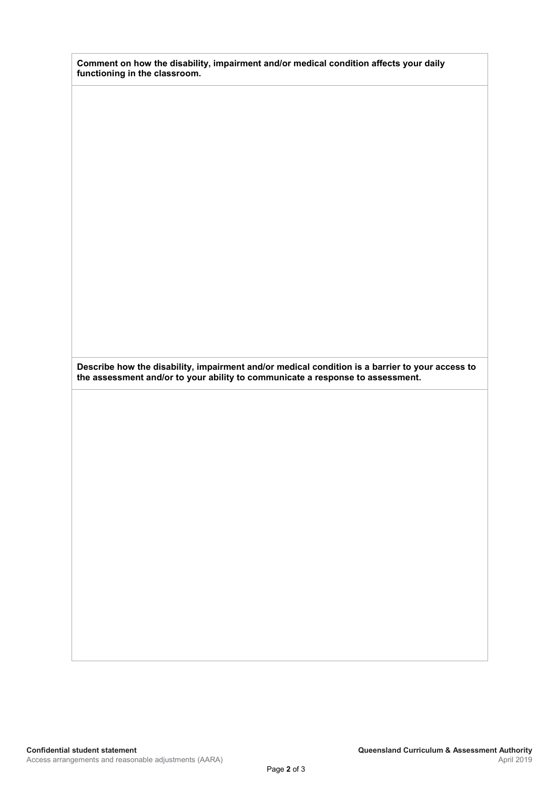| Comment on how the disability, impairment and/or medical condition affects your daily |  |
|---------------------------------------------------------------------------------------|--|
| functioning in the classroom.                                                         |  |

**Describe how the disability, impairment and/or medical condition is a barrier to your access to the assessment and/or to your ability to communicate a response to assessment.**